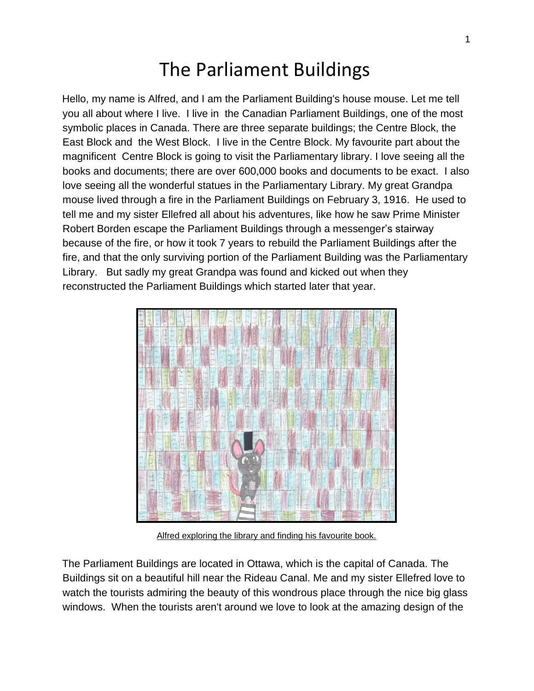## The Parliament Buildings

Hello, my name is Alfred, and I am the Parliament Building's house mouse. Let me tell you all about where I live. I live in the Canadian Parliament Buildings, one of the most symbolic places in Canada. There are three separate buildings; the Centre Block, the East Block and the West Block. I live in the Centre Block. My favourite part about the magnificent Centre Block is going to visit the Parliamentary library. I love seeing all the books and documents; there are over 600,000 books and documents to be exact. I also love seeing all the wonderful statues in the Parliamentary Library. My great Grandpa mouse lived through a fire in the Parliament Buildings on February 3, 1916. He used to tell me and my sister Ellefred all about his adventures, like how he saw Prime Minister Robert Borden escape the Parliament Buildings through a messenger's stairway because of the fire, or how it took 7 years to rebuild the Parliament Buildings after the fire, and that the only surviving portion of the Parliament Building was the Parliamentary Library. But sadly my great Grandpa was found and kicked out when they reconstructed the Parliament Buildings which started later that year.



Alfred exploring the library and finding his favourite book.

The Parliament Buildings are located in Ottawa, which is the capital of Canada. The Buildings sit on a beautiful hill near the Rideau Canal. Me and my sister Ellefred love to watch the tourists admiring the beauty of this wondrous place through the nice big glass windows. When the tourists aren't around we love to look at the amazing design of the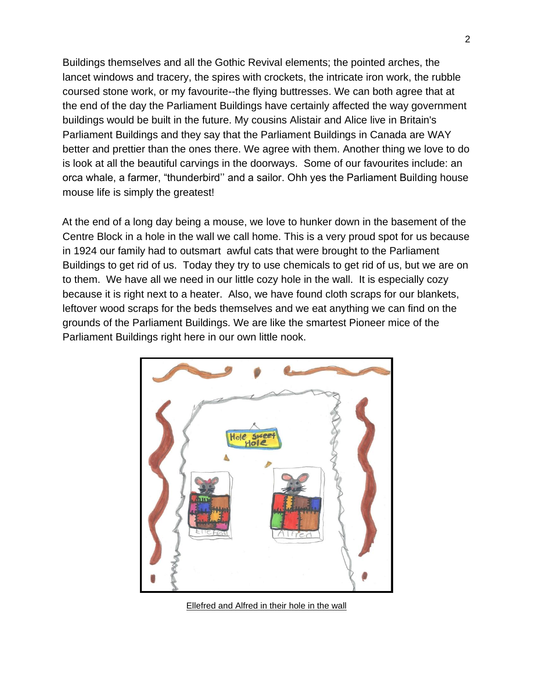Buildings themselves and all the Gothic Revival elements; the pointed arches, the lancet windows and tracery, the spires with crockets, the intricate iron work, the rubble coursed stone work, or my favourite--the flying buttresses. We can both agree that at the end of the day the Parliament Buildings have certainly affected the way government buildings would be built in the future. My cousins Alistair and Alice live in Britain's Parliament Buildings and they say that the Parliament Buildings in Canada are WAY better and prettier than the ones there. We agree with them. Another thing we love to do is look at all the beautiful carvings in the doorways. Some of our favourites include: an orca whale, a farmer, "thunderbird'' and a sailor. Ohh yes the Parliament Building house mouse life is simply the greatest!

At the end of a long day being a mouse, we love to hunker down in the basement of the Centre Block in a hole in the wall we call home. This is a very proud spot for us because in 1924 our family had to outsmart awful cats that were brought to the Parliament Buildings to get rid of us. Today they try to use chemicals to get rid of us, but we are on to them. We have all we need in our little cozy hole in the wall. It is especially cozy because it is right next to a heater. Also, we have found cloth scraps for our blankets, leftover wood scraps for the beds themselves and we eat anything we can find on the grounds of the Parliament Buildings. We are like the smartest Pioneer mice of the Parliament Buildings right here in our own little nook.



Ellefred and Alfred in their hole in the wall